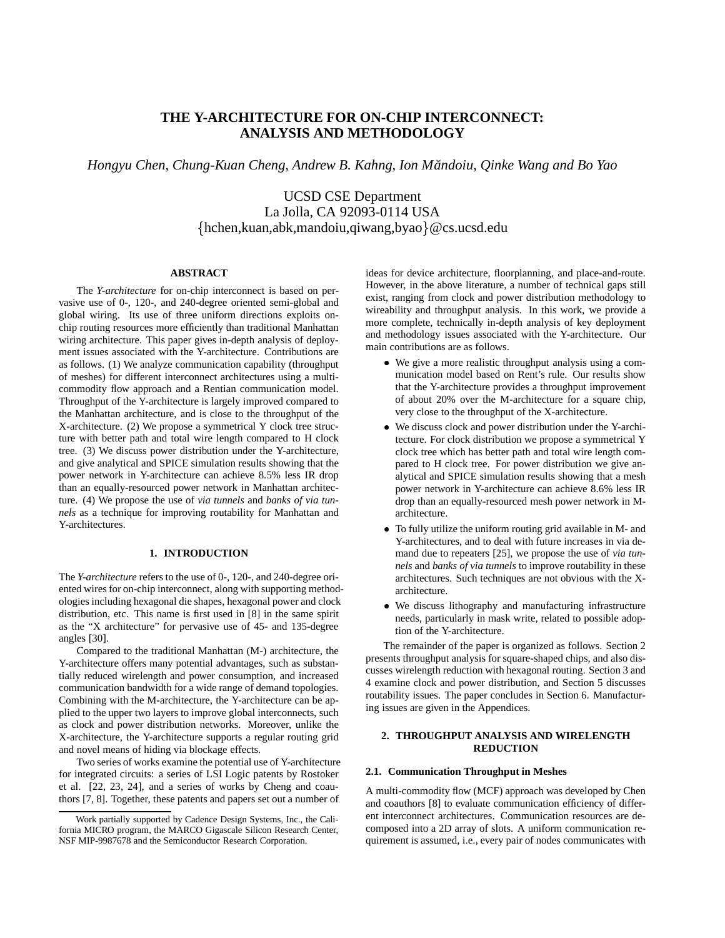## **THE Y-ARCHITECTURE FOR ON-CHIP INTERCONNECT: ANALYSIS AND METHODOLOGY**

*Hongyu Chen, Chung-Kuan Cheng, Andrew B. Kahng, Ion Mandoiu, ˘ Qinke Wang and Bo Yao*

UCSD CSE Department hchen,kuan,abk,mandoiu,qiwang,byao @cs.ucsd.edu La Jolla, CA 92093-0114 USA

## **ABSTRACT**

The *Y-architecture* for on-chip interconnect is based on pervasive use of 0-, 120-, and 240-degree oriented semi-global and global wiring. Its use of three uniform directions exploits onchip routing resources more efficiently than traditional Manhattan wiring architecture. This paper gives in-depth analysis of deployment issues associated with the Y-architecture. Contributions are as follows. (1) We analyze communication capability (throughput of meshes) for different interconnect architectures using a multicommodity flow approach and a Rentian communication model. Throughput of the Y-architecture is largely improved compared to the Manhattan architecture, and is close to the throughput of the X-architecture. (2) We propose a symmetrical Y clock tree structure with better path and total wire length compared to H clock tree. (3) We discuss power distribution under the Y-architecture, and give analytical and SPICE simulation results showing that the power network in Y-architecture can achieve 8.5% less IR drop than an equally-resourced power network in Manhattan architecture. (4) We propose the use of *via tunnels* and *banks of via tunnels* as a technique for improving routability for Manhattan and Y-architectures.

## **1. INTRODUCTION**

The *Y-architecture* refers to the use of 0-, 120-, and 240-degree oriented wires for on-chip interconnect, along with supporting methodologies including hexagonal die shapes, hexagonal power and clock distribution, etc. This name is first used in [8] in the same spirit as the "X architecture" for pervasive use of 45- and 135-degree angles [30].

Compared to the traditional Manhattan (M-) architecture, the Y-architecture offers many potential advantages, such as substantially reduced wirelength and power consumption, and increased communication bandwidth for a wide range of demand topologies. Combining with the M-architecture, the Y-architecture can be applied to the upper two layers to improve global interconnects, such as clock and power distribution networks. Moreover, unlike the X-architecture, the Y-architecture supports a regular routing grid and novel means of hiding via blockage effects.

Two series of works examine the potential use of Y-architecture for integrated circuits: a series of LSI Logic patents by Rostoker et al. [22, 23, 24], and a series of works by Cheng and coauthors [7, 8]. Together, these patents and papers set out a number of

ideas for device architecture, floorplanning, and place-and-route. However, in the above literature, a number of technical gaps still exist, ranging from clock and power distribution methodology to wireability and throughput analysis. In this work, we provide a more complete, technically in-depth analysis of key deployment and methodology issues associated with the Y-architecture. Our main contributions are as follows.

- We give a more realistic throughput analysis using a communication model based on Rent's rule. Our results show that the Y-architecture provides a throughput improvement of about 20% over the M-architecture for a square chip, very close to the throughput of the X-architecture.
- We discuss clock and power distribution under the Y-architecture. For clock distribution we propose a symmetrical Y clock tree which has better path and total wire length compared to H clock tree. For power distribution we give analytical and SPICE simulation results showing that a mesh power network in Y-architecture can achieve 8.6% less IR drop than an equally-resourced mesh power network in Marchitecture.
- To fully utilize the uniform routing grid available in M- and Y-architectures, and to deal with future increases in via demand due to repeaters [25], we propose the use of *via tunnels* and *banks of via tunnels* to improve routability in these architectures. Such techniques are not obvious with the Xarchitecture.
- We discuss lithography and manufacturing infrastructure needs, particularly in mask write, related to possible adoption of the Y-architecture.

The remainder of the paper is organized as follows. Section 2 presents throughput analysis for square-shaped chips, and also discusses wirelength reduction with hexagonal routing. Section 3 and 4 examine clock and power distribution, and Section 5 discusses routability issues. The paper concludes in Section 6. Manufacturing issues are given in the Appendices.

## **2. THROUGHPUT ANALYSIS AND WIRELENGTH REDUCTION**

#### **2.1. Communication Throughput in Meshes**

A multi-commodity flow (MCF) approach was developed by Chen and coauthors [8] to evaluate communication efficiency of different interconnect architectures. Communication resources are decomposed into a 2D array of slots. A uniform communication requirement is assumed, i.e., every pair of nodes communicates with

Work partially supported by Cadence Design Systems, Inc., the California MICRO program, the MARCO Gigascale Silicon Research Center, NSF MIP-9987678 and the Semiconductor Research Corporation.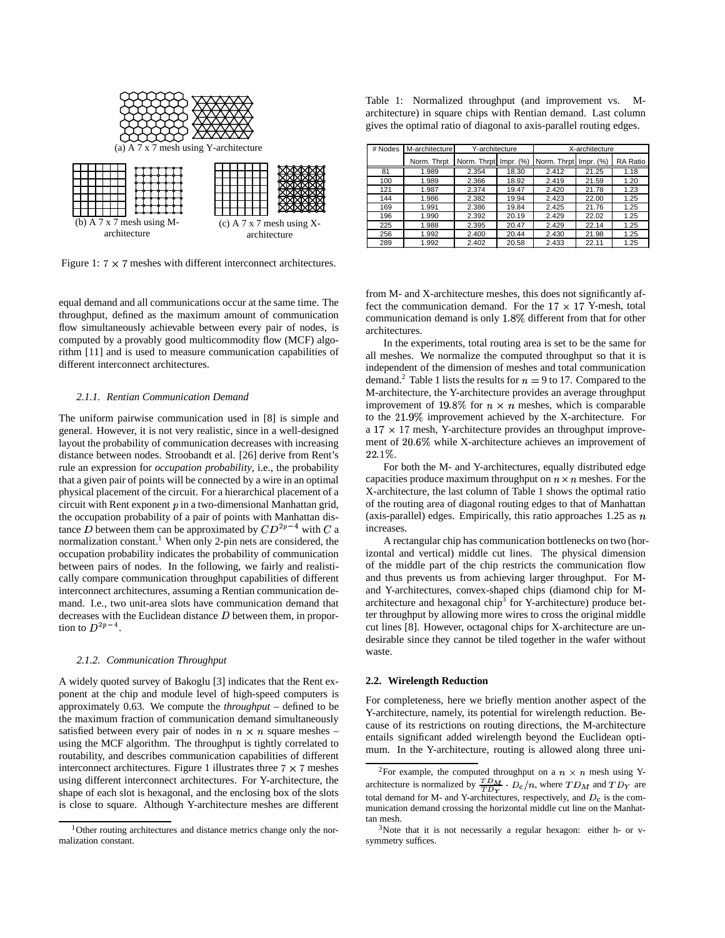

Figure 1:  $7 \times 7$  meshes with different interconnect architectures.

equal demand and all communications occur at the same time. The throughput, defined as the maximum amount of communication flow simultaneously achievable between every pair of nodes, is computed by a provably good multicommodity flow (MCF) algorithm [11] and is used to measure communication capabilities of different interconnect architectures.

#### *2.1.1. Rentian Communication Demand*

The uniform pairwise communication used in [8] is simple and general. However, it is not very realistic, since in a well-designed layout the probability of communication decreases with increasing distance between nodes. Stroobandt et al. [26] derive from Rent's rule an expression for *occupation probability*, i.e., the probability that a given pair of points will be connected by a wire in an optimal physical placement of the circuit. For a hierarchical placement of a circuit with Rent exponent  $p$  in a two-dimensional Manhattan grid, the occupation probability of a pair of points with Manhattan distance D between them can be approximated by  $CD^{2p-4}$  with C a increase normalization constant.<sup>1</sup> When only 2-pin nets are considered, the occupation probability indicates the probability of communication between pairs of nodes. In the following, we fairly and realistically compare communication throughput capabilities of different interconnect architectures, assuming a Rentian communication demand. I.e., two unit-area slots have communication demand that decreases with the Euclidean distance  $D$  between them, in proportion to  $D^{2p-4}$ .

#### *2.1.2. Communication Throughput*

A widely quoted survey of Bakoglu [3] indicates that the Rent exponent at the chip and module level of high-speed computers is approximately 0.63. We compute the *throughput* – defined to be the maximum fraction of communication demand simultaneously satisfied between every pair of nodes in  $n \times n$  square meshes – using the MCF algorithm. The throughput is tightly correlated to routability, and describes communication capabilities of different interconnect architectures. Figure 1 illustrates three  $7 \times 7$  meshes using different interconnect architectures. For Y-architecture, the shape of each slot is hexagonal, and the enclosing box of the slots is close to square. Although Y-architecture meshes are different

Table 1: Normalized throughput (and improvement vs. Marchitecture) in square chips with Rentian demand. Last column gives the optimal ratio of diagonal to axis-parallel routing edges.

| # Nodes | M-architecture | Y-architecture        |       | X-architecture        |       |          |
|---------|----------------|-----------------------|-------|-----------------------|-------|----------|
|         | Norm. Thrpt    | Norm. Thrpt Impr. (%) |       | Norm. Thrpt Impr. (%) |       | RA Ratio |
| 81      | 1.989          | 2.354                 | 18.30 | 2.412                 | 21.25 | 1.18     |
| 100     | 1.989          | 2.366                 | 18.92 | 2.419                 | 21.59 | 1.20     |
| 121     | 1.987          | 2.374                 | 19.47 | 2.420                 | 21.78 | 1.23     |
| 144     | 1.986          | 2.382                 | 19.94 | 2.423                 | 22.00 | 1.25     |
| 169     | 1.991          | 2.386                 | 19.84 | 2.425                 | 21.76 | 1.25     |
| 196     | 1.990          | 2.392                 | 20.19 | 2.429                 | 22.02 | 1.25     |
| 225     | 1.988          | 2.395                 | 20.47 | 2.429                 | 22.14 | 1.25     |
| 256     | 1.992          | 2.400                 | 20.44 | 2.430                 | 21.98 | 1.25     |
| 289     | 1.992          | 2.402                 | 20.58 | 2.433                 | 22.11 | 1.25     |

from M- and X-architecture meshes, this does not significantly affect the communication demand. For the  $17 \times 17$  Y-mesh, total communication demand is only 1.8% different from that for other architectures.

In the experiments, total routing area is set to be the same for all meshes. We normalize the computed throughput so that it is independent of the dimension of meshes and total communication demand.<sup>2</sup> Table 1 lists the results for  $n = 9$  to 17. Compared to the M-architecture, the Y-architecture provides an average throughput improvement of 19.8% for  $n \times n$  meshes, which is comparable to the 21.9% improvement achieved by the X-architecture. For a  $17 \times 17$  mesh, Y-architecture provides an throughput improvement of 20.6% while X-architecture achieves an improvement of 22.1%.

For both the M- and Y-architectures, equally distributed edge capacities produce maximum throughput on  $n \times n$  meshes. For the X-architecture, the last column of Table 1 shows the optimal ratio of the routing area of diagonal routing edges to that of Manhattan (axis-parallel) edges. Empirically, this ratio approaches 1.25 as  $n$ increases.

A rectangular chip has communication bottlenecks on two (horizontal and vertical) middle cut lines. The physical dimension of the middle part of the chip restricts the communication flow and thus prevents us from achieving larger throughput. For Mand Y-architectures, convex-shaped chips (diamond chip for Marchitecture and hexagonal chip<sup>3</sup> for Y-architecture) produce better throughput by allowing more wires to cross the original middle cut lines [8]. However, octagonal chips for X-architecture are undesirable since they cannot be tiled together in the wafer without waste.

#### **2.2. Wirelength Reduction**

For completeness, here we briefly mention another aspect of the Y-architecture, namely, its potential for wirelength reduction. Because of its restrictions on routing directions, the M-architecture entails significant added wirelength beyond the Euclidean optimum. In the Y-architecture, routing is allowed along three uni-

<sup>&</sup>lt;sup>1</sup>Other routing architectures and distance metrics change only the normalization constant.

<sup>&</sup>lt;sup>2</sup>For example, the computed throughput on a  $n \times n$  mesh using Yarchitecture is normalized by  $\frac{TDM}{TDL} \cdot D_c/n$ , where  $TD_M$  and  $TD_Y$  are total demand for M- and Y-architectures, respectively, and  $D_c$  is the communication demand crossing the horizontal middle cut line on the Manhattan mesh.

<sup>3</sup>Note that it is not necessarily a regular hexagon: either h- or vsymmetry suffices.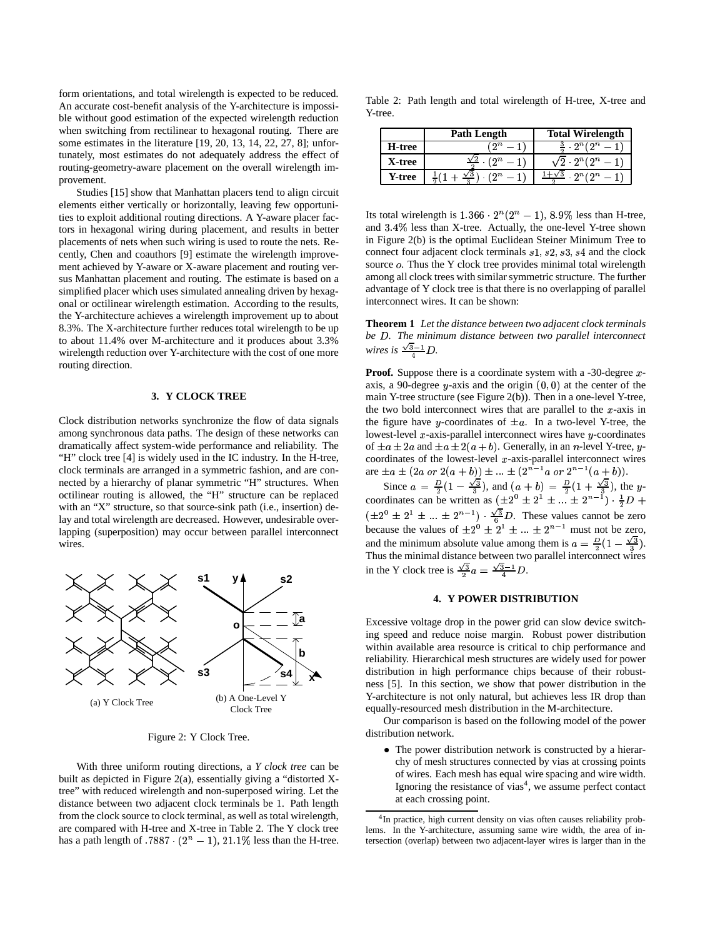form orientations, and total wirelength is expected to be reduced. An accurate cost-benefit analysis of the Y-architecture is impossible without good estimation of the expected wirelength reduction when switching from rectilinear to hexagonal routing. There are some estimates in the literature [19, 20, 13, 14, 22, 27, 8]; unfortunately, most estimates do not adequately address the effect of routing-geometry-aware placement on the overall wirelength improvement.

Studies [15] show that Manhattan placers tend to align circuit elements either vertically or horizontally, leaving few opportunities to exploit additional routing directions. A Y-aware placer factors in hexagonal wiring during placement, and results in better placements of nets when such wiring is used to route the nets. Recently, Chen and coauthors [9] estimate the wirelength improvement achieved by Y-aware or X-aware placement and routing versus Manhattan placement and routing. The estimate is based on a simplified placer which uses simulated annealing driven by hexagonal or octilinear wirelength estimation. According to the results, the Y-architecture achieves a wirelength improvement up to about 8.3%. The X-architecture further reduces total wirelength to be up to about 11.4% over M-architecture and it produces about 3.3% wirelength reduction over Y-architecture with the cost of one more routing direction.

## **3. Y CLOCK TREE**

Clock distribution networks synchronize the flow of data signals among synchronous data paths. The design of these networks can dramatically affect system-wide performance and reliability. The "H" clock tree [4] is widely used in the IC industry. In the H-tree, clock terminals are arranged in a symmetric fashion, and are connected by a hierarchy of planar symmetric "H" structures. When octilinear routing is allowed, the "H" structure can be replaced with an "X" structure, so that source-sink path (i.e., insertion) delay and total wirelength are decreased. However, undesirable overlapping (superposition) may occur between parallel interconnect wires.



Figure 2: Y Clock Tree.

With three uniform routing directions, a *Y clock tree* can be built as depicted in Figure 2(a), essentially giving a "distorted Xtree" with reduced wirelength and non-superposed wiring. Let the distance between two adjacent clock terminals be 1. Path length from the clock source to clock terminal, as well as total wirelength, are compared with H-tree and X-tree in Table 2. The Y clock tree has a path length of  $.7887 \cdot (2^n - 1)$ ,  $21.1\%$  less than the H-tree.

Table 2: Path length and total wirelength of H-tree, X-tree and Y-tree.

|        | Path Length    | <b>Total Wirelength</b> |  |
|--------|----------------|-------------------------|--|
| H-tree | ′ ຕ $\,n$      |                         |  |
| X-tree | $\mathfrak{m}$ | $2^n$ (2 $^n$           |  |
| Y-tree | νο             |                         |  |

Its total wirelength is  $1.366 \cdot 2^n(2^n - 1)$ ,  $8.9\%$  less than H-tree, and  $3.4\%$  less than X-tree. Actually, the one-level Y-tree shown in Figure 2(b) is the optimal Euclidean Steiner Minimum Tree to connect four adjacent clock terminals  $s1$ ,  $s2$ ,  $s3$ ,  $s4$  and the clock source  $o$ . Thus the Y clock tree provides minimal total wirelength among all clock trees with similar symmetric structure. The further advantage of Y clock tree is that there is no overlapping of parallel interconnect wires. It can be shown:

**Theorem 1** *Let the distance between two adjacent clock terminals be . The minimum distance between two parallel interconnect wires is*  $\frac{\sqrt{3}-1}{4}D$ .

**Proof.** Suppose there is a coordinate system with a -30-degree  $x$ axis, a 90-degree y-axis and the origin  $(0, 0)$  at the center of the main Y-tree structure (see Figure 2(b)). Then in a one-level Y-tree, the two bold interconnect wires that are parallel to the  $x$ -axis in the figure have y-coordinates of  $\pm a$ . In a two-level Y-tree, the lowest-level  $x$ -axis-parallel interconnect wires have  $y$ -coordinates of  $\pm a \pm 2a$  and  $\pm a \pm 2(a + b)$ . Generally, in an *n*-level Y-tree, *y*coordinates of the lowest-level  $x$ -axis-parallel interconnect wires are  $\pm a \pm (2a \text{ or } 2(a + b)) \pm ... \pm (2^{n-1}a \text{ or } 2^{n-1}(a + b)).$ 

Since  $a = \frac{D}{2}(1 - \frac{\sqrt{3}}{3})$ , a  $(1-\frac{\sqrt{3}}{3})$ , and  $(a+b) = \frac{b}{2}(1+\frac{\sqrt{3}}{3})$ , the set  $\left(1+\frac{\sqrt{3}}{3}\right)$ , the ycoordinates can be written as  $(\pm 2^{0} \pm 2^{1} \pm ... \pm 2^{n-1}) \cdot \frac{1}{2}D +$  $(\pm 2^0 \pm 2^1 \pm ... \pm 2^{n-1})$   $\frac{\sqrt{3}}{8}D$ . These values cannot be zero because the values of  $\pm 2^{0} \pm 2^{1} \pm ... \pm 2^{n-1}$  must not be zero, and the minimum absolute value among them is  $a = \frac{D}{2}(1 - \frac{\sqrt{3}}{3})$ . Thus the minimal distance between two parallel interconnect wires in the Y clock tree is  $\frac{\sqrt{3}}{2}a = \frac{\sqrt{3}-1}{4}D$ .

## **4. Y POWER DISTRIBUTION**

Excessive voltage drop in the power grid can slow device switching speed and reduce noise margin. Robust power distribution within available area resource is critical to chip performance and reliability. Hierarchical mesh structures are widely used for power distribution in high performance chips because of their robustness [5]. In this section, we show that power distribution in the Y-architecture is not only natural, but achieves less IR drop than equally-resourced mesh distribution in the M-architecture.

Our comparison is based on the following model of the power distribution network.

• The power distribution network is constructed by a hierarchy of mesh structures connected by vias at crossing points of wires. Each mesh has equal wire spacing and wire width. Ignoring the resistance of vias<sup>4</sup>, we assume perfect contact at each crossing point.

<sup>&</sup>lt;sup>4</sup>In practice, high current density on vias often causes reliability problems. In the Y-architecture, assuming same wire width, the area of intersection (overlap) between two adjacent-layer wires is larger than in the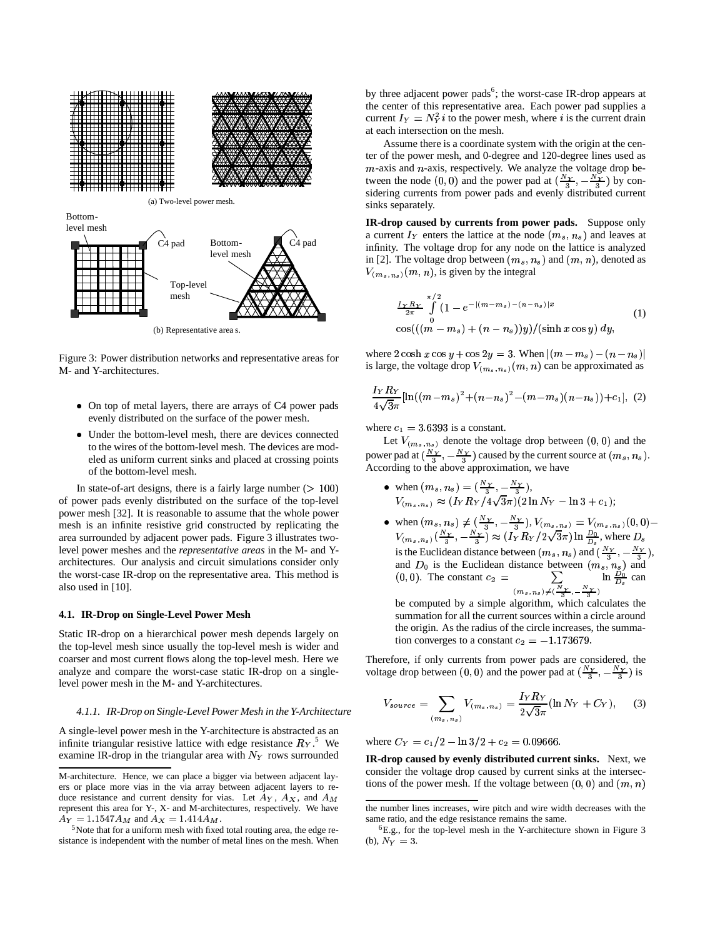

Figure 3: Power distribution networks and representative areas for M- and Y-architectures.

- On top of metal layers, there are arrays of C4 power pads evenly distributed on the surface of the power mesh.
- Under the bottom-level mesh, there are devices connected to the wires of the bottom-level mesh. The devices are modeled as uniform current sinks and placed at crossing points of the bottom-level mesh.

In state-of-art designs, there is a fairly large number  $(100)$ of power pads evenly distributed on the surface of the top-level power mesh [32]. It is reasonable to assume that the whole power mesh is an infinite resistive grid constructed by replicating the area surrounded by adjacent power pads. Figure 3 illustrates twolevel power meshes and the *representative areas* in the M- and Yarchitectures. Our analysis and circuit simulations consider only the worst-case IR-drop on the representative area. This method is also used in [10].

#### **4.1. IR-Drop on Single-Level Power Mesh**

Static IR-drop on a hierarchical power mesh depends largely on the top-level mesh since usually the top-level mesh is wider and coarser and most current flows along the top-level mesh. Here we analyze and compare the worst-case static IR-drop on a singlelevel power mesh in the M- and Y-architectures.

#### *4.1.1. IR-Drop on Single-Level Power Mesh in the Y-Architecture*

A single-level power mesh in the Y-architecture is abstracted as an infinite triangular resistive lattice with edge resistance  $R_Y$ .<sup>5</sup> We examine IR-drop in the triangular area with  $N_Y$  rows surrounded

by three adjacent power pads<sup>6</sup>; the worst-case IR-drop appears at the center of this representative area. Each power pad supplies a current  $I_Y = N_Y^2 i$  to the power mesh, where i is the current drain at each intersection on the mesh.

Assume there is a coordinate system with the origin at the center of the power mesh, and 0-degree and 120-degree lines used as  $m$ -axis and  $n$ -axis, respectively. We analyze the voltage drop between the node  $(0,0)$  and the power pad at  $(\frac{N_y}{3}, -\frac{N_y}{3})$  by con- sidering currents from power pads and evenly distributed current sinks separately.

**IR-drop caused by currents from power pads.** Suppose only a current  $I_Y$  enters the lattice at the node  $(m_s, n_s)$  and leaves at infinity. The voltage drop for any node on the lattice is analyzed in [2]. The voltage drop between  $(m_s, n_s)$  and  $(m, n)$ , denoted as  $V_{(m_s, n_s)}(m, n)$ , is given by the integral

$$
\frac{I_Y R_Y}{2\pi} \int_{0}^{\pi/2} (1 - e^{-|(m-m_s)-(n-n_s)|x} \qquad (1)
$$
  
\n
$$
\cos(((m-m_s)+(n-n_s))y)/(\sinh x \cos y) dy,
$$

where  $2 \cosh x \cos y + \cos 2y = 3$ . When  $|(m-m_s)-(n-n_s)|$ is large, the voltage drop  $V_{(m_s, n_s)}(m, n)$  can be approximated as

$$
\frac{I_Y R_Y}{4\sqrt{3}\pi}[\ln((m-m_s)^2 + (n-n_s)^2 - (m-m_s)(n-n_s)) + c_1], (2)
$$

where  $c_1 = 3.6393$  is a constant.

Let  $V_{(m_s,n_s)}$  denote the voltage drop between  $(0,0)$  and the power pad at  $(\frac{N_Y}{3}, -\frac{N_Y}{3})$  caused by the current source at  $(m_s, n_s)$ . According to the above approximation, we have

- when  $(m_s, n_s) = (\frac{N_Y}{3}, \frac{N_Y}{3}),$ <br>  $V_{(m_s, n_s)} \approx (I_Y R_Y / 4\sqrt{3}\pi)(2 \ln N_Y \ln 3 + c_1);$
- when  $(m_s, n_s) \neq (\frac{N_Y}{3}, -\frac{N_Y}{3}), V_{(m_s, n_s)} = V_{(m_s, n_s)}$  $_{s)} = V_{(m_s, n_s)}(0, 0)$ when  $(m_s, n_s) \neq (\frac{N_Y}{3}, \frac{-N_Y}{3}), V_{(m_s, n_s)} = V_{(m_s, n_s)}(0, 0) -$ <br>  $V_{(m_s, n_s)}(\frac{N_Y}{3}, \frac{-N_Y}{3}) \approx (I_Y R_Y/2\sqrt{3}\pi) \ln \frac{D_0}{D}$ , where  $D_s$ is the Euclidean distance between  $(m_s, n_s)$  and  $(\frac{N_Y}{3}, -\frac{N_Y}{3})$ , and  $D_0$  is the Euclidean distance between  $(m_s, n_s)$  and  $(0, 0)$ . The constant  $c_2 = \sum_{m=0}^{\infty} \ln \frac{D_0}{D_s}$  can  $s) \neq (\frac{N_Y}{3}, -\frac{N_Y}{3})$  $\ln \frac{D_0}{D}$  can

 be computed by a simple algorithm, which calculates the summation for all the current sources within a circle around the origin. As the radius of the circle increases, the summation converges to a constant  $c_2 = -1.173679$ .

Therefore, if only currents from power pads are considered, the voltage drop between  $(0, 0)$  and the power pad at  $(\frac{N_Y}{3}, -\frac{N_Y}{3})$  is

$$
V_{source} = \sum_{(m_s, n_s)} V_{(m_s, n_s)} = \frac{I_Y R_Y}{2\sqrt{3}\pi} (\ln N_Y + C_Y), \quad (3)
$$

where  $C_Y = c_1/2 - \ln 3/2 + c_2 = 0.09666$ .

**IR-drop caused by evenly distributed current sinks.** Next, we consider the voltage drop caused by current sinks at the intersections of the power mesh. If the voltage between  $(0, 0)$  and  $(m, n)$ 

M-architecture. Hence, we can place a bigger via between adjacent layers or place more vias in the via array between adjacent layers to reduce resistance and current density for vias. Let  $A_Y$ ,  $A_X$ , and  $A_M$ represent this area for Y-, X- and M-architectures, respectively. We have  $A_Y = 1.1547 A_M$  and  $A_X = 1.414 A_M$ .

<sup>&</sup>lt;sup>5</sup>Note that for a uniform mesh with fixed total routing area, the edge resistance is independent with the number of metal lines on the mesh. When

the number lines increases, wire pitch and wire width decreases with the same ratio, and the edge resistance remains the same.

<sup>6</sup>E.g., for the top-level mesh in the Y-architecture shown in Figure 3 (b),  $N_Y=3$ .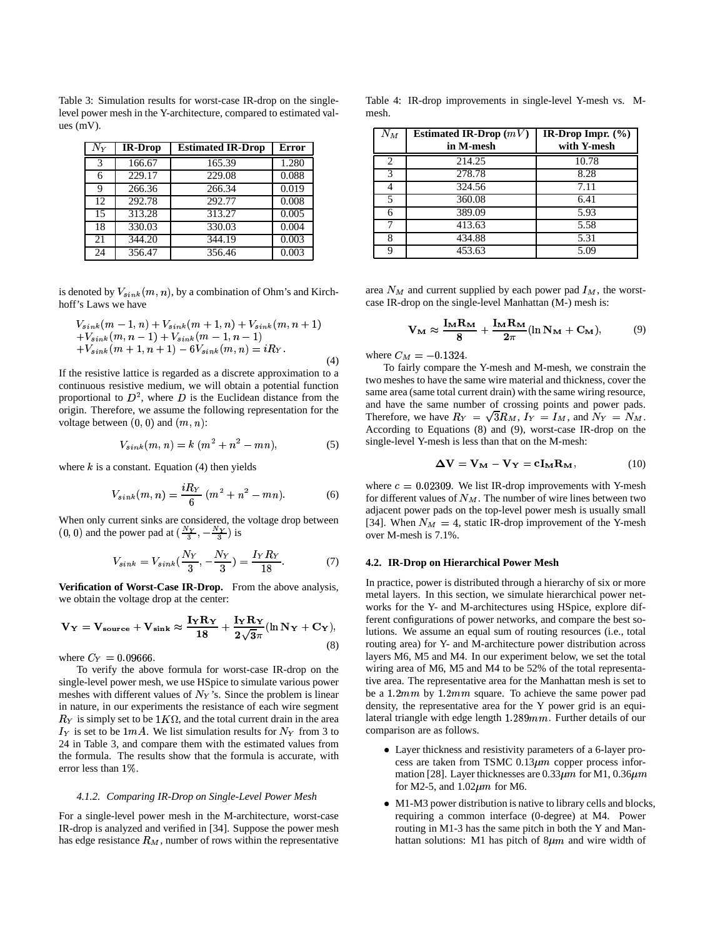Table 3: Simulation results for worst-case IR-drop on the singlelevel power mesh in the Y-architecture, compared to estimated values (mV).

| $N_Y$ | <b>IR-Drop</b> | <b>Estimated IR-Drop</b> | Error |
|-------|----------------|--------------------------|-------|
| 3     | 166.67         | 165.39                   | 1.280 |
| 6     | 229.17         | 229.08                   | 0.088 |
| 9     | 266.36         | 266.34                   | 0.019 |
| 12    | 292.78         | 292.77                   | 0.008 |
| 15    | 313.28         | 313.27                   | 0.005 |
| 18    | 330.03         | 330.03                   | 0.004 |
| 21    | 344.20         | 344.19                   | 0.003 |
| 24    | 356.47         | 356.46                   | 0.003 |

is denoted by  $V_{sink}(m, n)$ , by a combination of Ohm's and Kirchhoff's Laws we have

$$
V_{sink}(m-1, n) + V_{sink}(m+1, n) + V_{sink}(m, n+1) +V_{sink}(m, n-1) + V_{sink}(m-1, n-1) +V_{sink}(m+1, n+1) - 6V_{sink}(m, n) = iR_Y.
$$
\n(4)

If the resistive lattice is regarded as a discrete approximation to a continuous resistive medium, we will obtain a potential function proportional to  $D^2$ , where D is the Euclidean distance from the origin. Therefore, we assume the following representation for the voltage between  $(0, 0)$  and  $(m, n)$ :

$$
V_{sink}(m, n) = k (m2 + n2 - mn), \t(5)
$$

where  $k$  is a constant. Equation (4) then yields

$$
V_{sink}(m, n) = \frac{iR_Y}{6} (m^2 + n^2 - mn). \tag{6}
$$

When only current sinks are considered, the voltage drop between  $(0, 0)$  and the power pad at  $(\frac{N_Y}{3}, -\frac{N_Y}{3})$  is

$$
V_{sink} = V_{sink}(\frac{N_Y}{3}, -\frac{N_Y}{3}) = \frac{I_Y R_Y}{18}.
$$
 (7)

**Verification of Worst-Case IR-Drop.** From the above analysis, we obtain the voltage drop at the center:

$$
V_Y = V_{source} + V_{sink} \approx \frac{I_Y R_Y}{18} + \frac{I_Y R_Y}{2\sqrt{3}\pi} (\ln N_Y + C_Y),
$$
\n(8)

where  $C_Y = 0.09666$ .

To verify the above formula for worst-case IR-drop on the single-level power mesh, we use HSpice to simulate various power meshes with different values of  $N_Y$ 's. Since the problem is linear in nature, in our experiments the resistance of each wire segment  $R_Y$  is simply set to be  $1K\Omega$ , and the total current drain in the area  $I_Y$  is set to be 1mA. We list simulation results for  $N_Y$  from 3 to 24 in Table 3, and compare them with the estimated values from the formula. The results show that the formula is accurate, with error less than 1%.

#### *4.1.2. Comparing IR-Drop on Single-Level Power Mesh*

For a single-level power mesh in the M-architecture, worst-case IR-drop is analyzed and verified in [34]. Suppose the power mesh has edge resistance  $R_M$ , number of rows within the representative

Table 4: IR-drop improvements in single-level Y-mesh vs. Mmesh.

| $N_M$ | Estimated IR-Drop $(mV)$ | IR-Drop Impr. $(\% )$ |
|-------|--------------------------|-----------------------|
|       | in M-mesh                | with Y-mesh           |
| 2     | 214.25                   | 10.78                 |
| 3     | 278.78                   | 8.28                  |
| 4     | 324.56                   | 7.11                  |
| 5     | 360.08                   | 6.41                  |
| 6     | 389.09                   | 5.93                  |
|       | 413.63                   | 5.58                  |
| 8     | 434.88                   | 5.31                  |
| Q     | 453.63                   | 5.09                  |

area  $N_M$  and current supplied by each power pad  $I_M$ , the worstcase IR-drop on the single-level Manhattan (M-) mesh is:

$$
\mathbf{V}_{\mathbf{M}} \approx \frac{\mathbf{I}_{\mathbf{M}} \mathbf{R}_{\mathbf{M}}}{8} + \frac{\mathbf{I}_{\mathbf{M}} \mathbf{R}_{\mathbf{M}}}{2\pi} (\ln \mathbf{N}_{\mathbf{M}} + \mathbf{C}_{\mathbf{M}}), \tag{9}
$$

where  $C_M = -0.1324$ .

To fairly compare the Y-mesh and M-mesh, we constrain the two meshes to have the same wire material and thickness, cover the same area (same total current drain) with the same wiring resource, and have the same number of crossing points and power pads. Therefore, we have  $R_Y = \sqrt{3R_M}$ ,  $I_Y = I_M$ , and  $N_Y = N_M$ . According to Equations (8) and (9), worst-case IR-drop on the single-level Y-mesh is less than that on the M-mesh:

$$
\Delta V = V_M - V_Y = cI_M R_M, \qquad (10)
$$

where  $c = 0.02309$ . We list IR-drop improvements with Y-mesh for different values of  $N_M$ . The number of wire lines between two adjacent power pads on the top-level power mesh is usually small [34]. When  $N_M = 4$ , static IR-drop improvement of the Y-mesh over M-mesh is 7.1%.

#### **4.2. IR-Drop on Hierarchical Power Mesh**

 $+ \mathbf{C_Y}$ ), lutions. We assume an equal sum of routing resources (i.e., total In practice, power is distributed through a hierarchy of six or more metal layers. In this section, we simulate hierarchical power networks for the Y- and M-architectures using HSpice, explore different configurations of power networks, and compare the best sorouting area) for Y- and M-architecture power distribution across layers M6, M5 and M4. In our experiment below, we set the total wiring area of M6, M5 and M4 to be 52% of the total representative area. The representative area for the Manhattan mesh is set to be a  $1.2mm$  by  $1.2mm$  square. To achieve the same power pad density, the representative area for the Y power grid is an equilateral triangle with edge length  $1.289mm$ . Further details of our comparison are as follows.

- Layer thickness and resistivity parameters of a 6-layer process are taken from TSMC  $0.13 \mu m$  copper process information [28]. Layer thicknesses are  $0.33 \mu m$  for M1,  $0.36 \mu m$ for M2-5, and  $1.02 \mu m$  for M6.
- M1-M3 power distribution is native to library cells and blocks, requiring a common interface (0-degree) at M4. Power routing in M1-3 has the same pitch in both the Y and Manhattan solutions: M1 has pitch of  $8\mu m$  and wire width of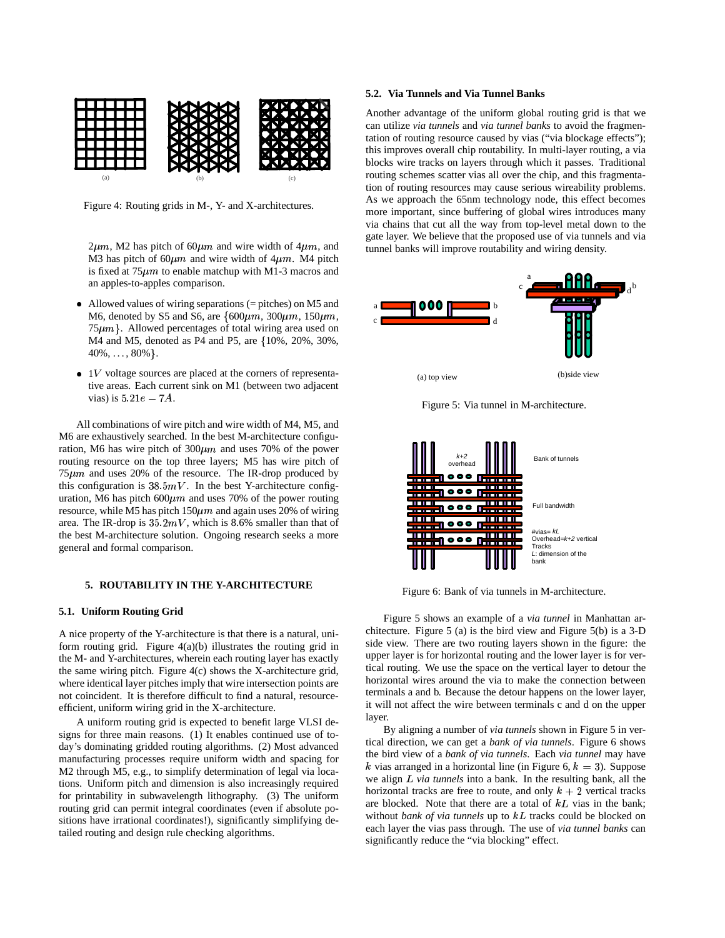

Figure 4: Routing grids in M-, Y- and X-architectures.

 $2\mu m$ , M2 has pitch of 60 $\mu$ m and wire width of  $4\mu$ m, and tunnel b M3 has pitch of 60 $\mu$ m and wire width of 4 $\mu$ m. M4 pitch is fixed at  $75\mu m$  to enable matchup with M1-3 macros and an apples-to-apples comparison.

- Allowed values of wiring separations (= pitches) on M5 and M6, denoted by S5 and S6, are  $\{600\mu m, 300\mu m, 150\mu m, \ldots \}$  $75\mu m$ . Allowed percentages of total wiring area used on M4 and M5, denoted as P4 and P5, are  $\{10\%, 20\%, 30\%,$  $40\%, \ldots, 80\%\}.$
- $\bullet$  1V voltage sources are placed at the corners of representative areas. Each current sink on M1 (between two adjacent vias) is  $5.21e-7A$ .

All combinations of wire pitch and wire width of M4, M5, and M6 are exhaustively searched. In the best M-architecture configuration, M6 has wire pitch of  $300 \mu m$  and uses 70% of the power routing resource on the top three layers; M5 has wire pitch of  $75\mu m$  and uses 20% of the resource. The IR-drop produced by this configuration is  $38.5mV$ . In the best Y-architecture configuration, M6 has pitch  $600 \mu m$  and uses 70% of the power routing resource, while M5 has pitch  $150 \mu m$  and again uses 20% of wiring area. The IR-drop is  $35.2mV$ , which is 8.6% smaller than that of the best M-architecture solution. Ongoing research seeks a more general and formal comparison.

## **5. ROUTABILITY IN THE Y-ARCHITECTURE**

## **5.1. Uniform Routing Grid**

A nice property of the Y-architecture is that there is a natural, uniform routing grid. Figure  $4(a)(b)$  illustrates the routing grid in the M- and Y-architectures, wherein each routing layer has exactly the same wiring pitch. Figure 4(c) shows the X-architecture grid, where identical layer pitches imply that wire intersection points are not coincident. It is therefore difficult to find a natural, resourceefficient, uniform wiring grid in the X-architecture.

A uniform routing grid is expected to benefit large VLSI designs for three main reasons. (1) It enables continued use of today's dominating gridded routing algorithms. (2) Most advanced manufacturing processes require uniform width and spacing for M2 through M5, e.g., to simplify determination of legal via locations. Uniform pitch and dimension is also increasingly required for printability in subwavelength lithography. (3) The uniform routing grid can permit integral coordinates (even if absolute positions have irrational coordinates!), significantly simplifying detailed routing and design rule checking algorithms.

#### **5.2. Via Tunnels and Via Tunnel Banks**

Another advantage of the uniform global routing grid is that we can utilize *via tunnels* and *via tunnel banks* to avoid the fragmentation of routing resource caused by vias ("via blockage effects"); this improves overall chip routability. In multi-layer routing, a via blocks wire tracks on layers through which it passes. Traditional routing schemes scatter vias all over the chip, and this fragmentation of routing resources may cause serious wireability problems. As we approach the 65nm technology node, this effect becomes more important, since buffering of global wires introduces many via chains that cut all the way from top-level metal down to the gate layer. We believe that the proposed use of via tunnels and via tunnel banks will improve routability and wiring density.



Figure 5: Via tunnel in M-architecture.



Figure 6: Bank of via tunnels in M-architecture.

Figure 5 shows an example of a *via tunnel* in Manhattan architecture. Figure 5 (a) is the bird view and Figure 5(b) is a 3-D side view. There are two routing layers shown in the figure: the upper layer is for horizontal routing and the lower layer is for vertical routing. We use the space on the vertical layer to detour the horizontal wires around the via to make the connection between terminals a and b. Because the detour happens on the lower layer, it will not affect the wire between terminals c and d on the upper layer.

By aligning a number of *via tunnels* shown in Figure 5 in vertical direction, we can get a *bank of via tunnels*. Figure 6 shows the bird view of a *bank of via tunnels*. Each *via tunnel* may have k vias arranged in a horizontal line (in Figure 6,  $k = 3$ ). Suppose we align *L* via tunnels into a bank. In the resulting bank, all the horizontal tracks are free to route, and only  $k + 2$  vertical tracks are blocked. Note that there are a total of  $kL$  vias in the bank; without *bank* of *via tunnels* up to  $kL$  tracks could be blocked on each layer the vias pass through. The use of *via tunnel banks* can significantly reduce the "via blocking" effect.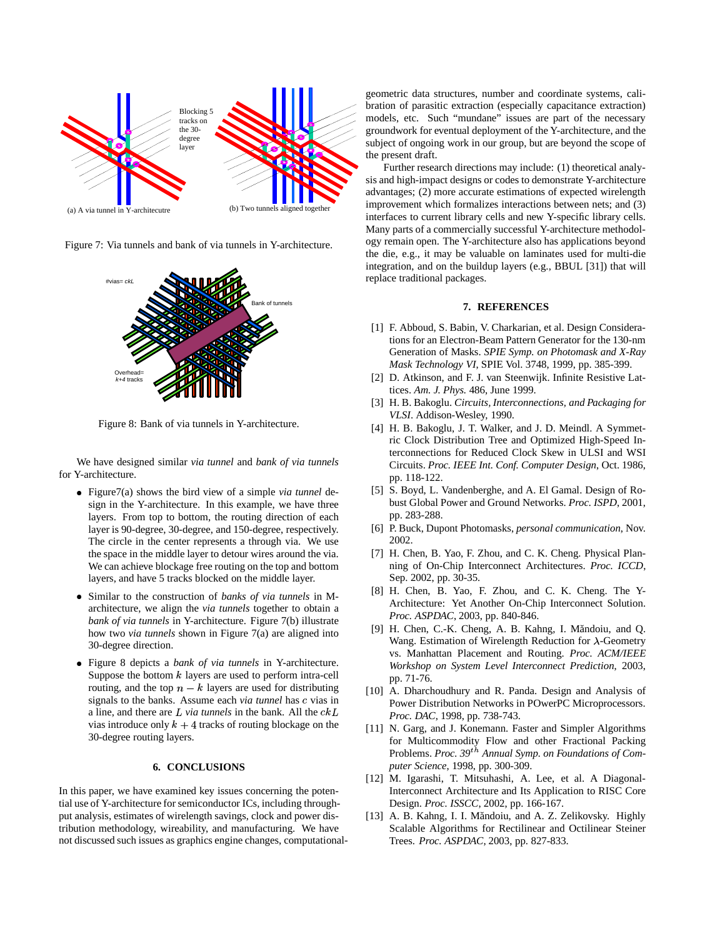

(a) A via tunnel in Y
architecutre

Figure 7: Via tunnels and bank of via tunnels in Y-architecture.



Figure 8: Bank of via tunnels in Y-architecture.

We have designed similar *via tunnel* and *bank of via tunnels* for Y-architecture.

- Figure7(a) shows the bird view of a simple *via tunnel* design in the Y-architecture. In this example, we have three layers. From top to bottom, the routing direction of each layer is 90-degree, 30-degree, and 150-degree, respectively. The circle in the center represents a through via. We use the space in the middle layer to detour wires around the via. We can achieve blockage free routing on the top and bottom layers, and have 5 tracks blocked on the middle layer.
- Similar to the construction of *banks of via tunnels* in Marchitecture, we align the *via tunnels* together to obtain a *bank of via tunnels* in Y-architecture. Figure 7(b) illustrate how two *via tunnels* shown in Figure 7(a) are aligned into 30-degree direction.
- Figure 8 depicts a *bank of via tunnels* in Y-architecture. Suppose the bottom  $k$  layers are used to perform intra-cell routing, and the top  $n - k$  layers are used for distributing signals to the banks. Assume each *via tunnel* has c vias in a line, and there are  $L$  *via tunnels* in the bank. All the  $ckL$ vias introduce only  $k + 4$  tracks of routing blockage on the 30-degree routing layers.

## **6. CONCLUSIONS**

In this paper, we have examined key issues concerning the potential use of Y-architecture for semiconductor ICs, including throughput analysis, estimates of wirelength savings, clock and power distribution methodology, wireability, and manufacturing. We have not discussed such issues as graphics engine changes, computationalgeometric data structures, number and coordinate systems, calibration of parasitic extraction (especially capacitance extraction) models, etc. Such "mundane" issues are part of the necessary groundwork for eventual deployment of the Y-architecture, and the subject of ongoing work in our group, but are beyond the scope of the present draft.

Further research directions may include: (1) theoretical analysis and high-impact designs or codes to demonstrate Y-architecture advantages; (2) more accurate estimations of expected wirelength improvement which formalizes interactions between nets; and (3) interfaces to current library cells and new Y-specific library cells. Many parts of a commercially successful Y-architecture methodology remain open. The Y-architecture also has applications beyond the die, e.g., it may be valuable on laminates used for multi-die integration, and on the buildup layers (e.g., BBUL [31]) that will replace traditional packages.

## **7. REFERENCES**

- [1] F. Abboud, S. Babin, V. Charkarian, et al. Design Considerations for an Electron-Beam Pattern Generator for the 130-nm Generation of Masks. *SPIE Symp. on Photomask and X-Ray Mask Technology VI*, SPIE Vol. 3748, 1999, pp. 385-399.
- [2] D. Atkinson, and F. J. van Steenwijk. Infinite Resistive Lattices. *Am. J. Phys.* 486, June 1999.
- [3] H. B. Bakoglu. *Circuits, Interconnections, and Packaging for VLSI*. Addison-Wesley, 1990.
- [4] H. B. Bakoglu, J. T. Walker, and J. D. Meindl. A Symmetric Clock Distribution Tree and Optimized High-Speed Interconnections for Reduced Clock Skew in ULSI and WSI Circuits. *Proc. IEEE Int. Conf. Computer Design*, Oct. 1986, pp. 118-122.
- [5] S. Boyd, L. Vandenberghe, and A. El Gamal. Design of Robust Global Power and Ground Networks. *Proc. ISPD*, 2001, pp. 283-288.
- [6] P. Buck, Dupont Photomasks, *personal communication*, Nov. 2002.
- [7] H. Chen, B. Yao, F. Zhou, and C. K. Cheng. Physical Planning of On-Chip Interconnect Architectures. *Proc. ICCD*, Sep. 2002, pp. 30-35.
- [8] H. Chen, B. Yao, F. Zhou, and C. K. Cheng. The Y-Architecture: Yet Another On-Chip Interconnect Solution. *Proc. ASPDAC*, 2003, pp. 840-846.
- [9] H. Chen, C.-K. Cheng, A. B. Kahng, I. Măndoiu, and Q. Wang. Estimation of Wirelength Reduction for  $\lambda$ -Geometry vs. Manhattan Placement and Routing. *Proc. ACM/IEEE Workshop on System Level Interconnect Prediction*, 2003, pp. 71-76.
- [10] A. Dharchoudhury and R. Panda. Design and Analysis of Power Distribution Networks in POwerPC Microprocessors. *Proc. DAC*, 1998, pp. 738-743.
- [11] N. Garg, and J. Konemann. Faster and Simpler Algorithms for Multicommodity Flow and other Fractional Packing Problems. *Proc.* 39<sup>th</sup> Annual Symp. on Foundations of Com*puter Science*, 1998, pp. 300-309.
- [12] M. Igarashi, T. Mitsuhashi, A. Lee, et al. A Diagonal-Interconnect Architecture and Its Application to RISC Core Design. *Proc. ISSCC*, 2002, pp. 166-167.
- [13] A. B. Kahng, I. I. Măndoiu, and A. Z. Zelikovsky. Highly Scalable Algorithms for Rectilinear and Octilinear Steiner Trees. *Proc. ASPDAC*, 2003, pp. 827-833.